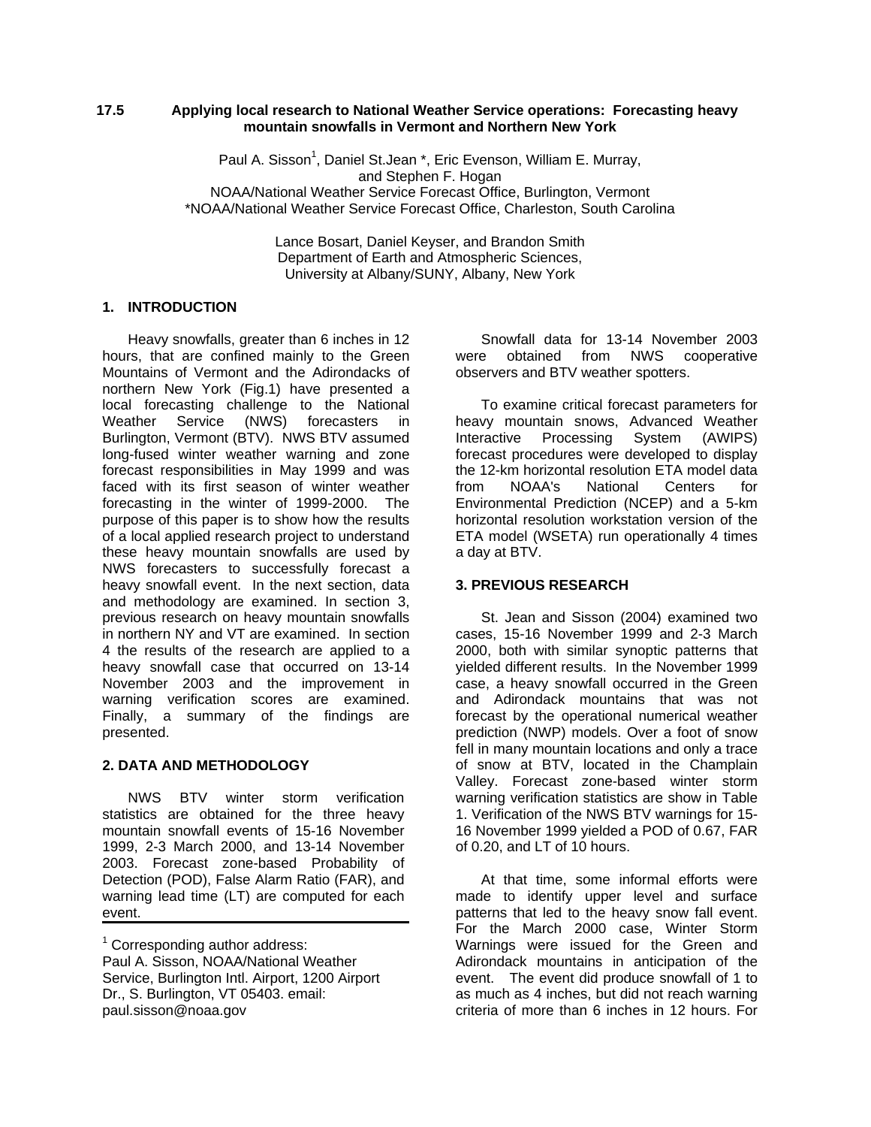#### **17.5 Applying local research to National Weather Service operations: Forecasting heavy mountain snowfalls in Vermont and Northern New York**

Paul A. Sisson<sup>1</sup>, Daniel St.Jean \*, Eric Evenson, William E. Murray, and Stephen F. Hogan NOAA/National Weather Service Forecast Office, Burlington, Vermont \*NOAA/National Weather Service Forecast Office, Charleston, South Carolina

> Lance Bosart, Daniel Keyser, and Brandon Smith Department of Earth and Atmospheric Sciences, University at Albany/SUNY, Albany, New York

#### **1. INTRODUCTION**

Heavy snowfalls, greater than 6 inches in 12 hours, that are confined mainly to the Green Mountains of Vermont and the Adirondacks of northern New York (Fig.1) have presented a local forecasting challenge to the National Weather Service (NWS) forecasters in Burlington, Vermont (BTV). NWS BTV assumed long-fused winter weather warning and zone forecast responsibilities in May 1999 and was faced with its first season of winter weather forecasting in the winter of 1999-2000. The purpose of this paper is to show how the results of a local applied research project to understand these heavy mountain snowfalls are used by NWS forecasters to successfully forecast a heavy snowfall event. In the next section, data and methodology are examined. In section 3, previous research on heavy mountain snowfalls in northern NY and VT are examined. In section 4 the results of the research are applied to a heavy snowfall case that occurred on 13-14 November 2003 and the improvement in warning verification scores are examined. Finally, a summary of the findings are presented.

#### **2. DATA AND METHODOLOGY**

NWS BTV winter storm verification statistics are obtained for the three heavy mountain snowfall events of 15-16 November 1999, 2-3 March 2000, and 13-14 November 2003. Forecast zone-based Probability of Detection (POD), False Alarm Ratio (FAR), and warning lead time (LT) are computed for each event.

Snowfall data for 13-14 November 2003 were obtained from NWS cooperative observers and BTV weather spotters.

To examine critical forecast parameters for heavy mountain snows, Advanced Weather<br>Interactive Processing System (AWIPS) System (AWIPS) forecast procedures were developed to display the 12-km horizontal resolution ETA model data<br>from NOAA's National Centers for from NOAA's National Centers for Environmental Prediction (NCEP) and a 5-km horizontal resolution workstation version of the ETA model (WSETA) run operationally 4 times a day at BTV.

## **3. PREVIOUS RESEARCH**

St. Jean and Sisson (2004) examined two cases, 15-16 November 1999 and 2-3 March 2000, both with similar synoptic patterns that yielded different results. In the November 1999 case, a heavy snowfall occurred in the Green and Adirondack mountains that was not forecast by the operational numerical weather prediction (NWP) models. Over a foot of snow fell in many mountain locations and only a trace of snow at BTV, located in the Champlain Valley. Forecast zone-based winter storm warning verification statistics are show in Table 1. Verification of the NWS BTV warnings for 15- 16 November 1999 yielded a POD of 0.67, FAR of 0.20, and LT of 10 hours.

At that time, some informal efforts were made to identify upper level and surface patterns that led to the heavy snow fall event. For the March 2000 case, Winter Storm Warnings were issued for the Green and Adirondack mountains in anticipation of the event. The event did produce snowfall of 1 to as much as 4 inches, but did not reach warning criteria of more than 6 inches in 12 hours. For

<sup>&</sup>lt;sup>1</sup> Corresponding author address:

Paul A. Sisson, NOAA/National Weather Service, Burlington Intl. Airport, 1200 Airport Dr., S. Burlington, VT 05403. email: paul.sisson@noaa.gov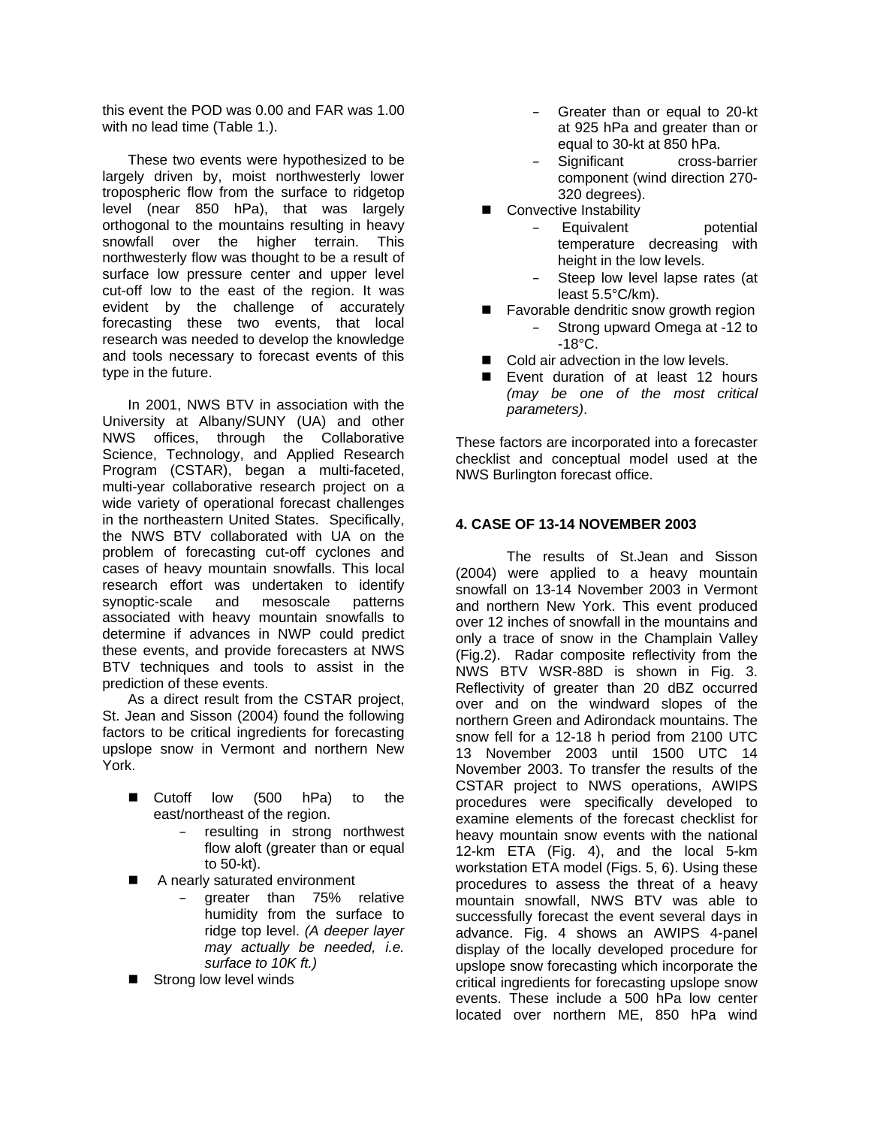this event the POD was 0.00 and FAR was 1.00 with no lead time (Table 1.).

These two events were hypothesized to be largely driven by, moist northwesterly lower tropospheric flow from the surface to ridgetop level (near 850 hPa), that was largely orthogonal to the mountains resulting in heavy snowfall over the higher terrain. This northwesterly flow was thought to be a result of surface low pressure center and upper level cut-off low to the east of the region. It was evident by the challenge of accurately forecasting these two events, that local research was needed to develop the knowledge and tools necessary to forecast events of this type in the future.

In 2001, NWS BTV in association with the University at Albany/SUNY (UA) and other NWS offices, through the Collaborative Science, Technology, and Applied Research Program (CSTAR), began a multi-faceted, multi-year collaborative research project on a wide variety of operational forecast challenges in the northeastern United States. Specifically, the NWS BTV collaborated with UA on the problem of forecasting cut-off cyclones and cases of heavy mountain snowfalls. This local research effort was undertaken to identify synoptic-scale and mesoscale patterns associated with heavy mountain snowfalls to determine if advances in NWP could predict these events, and provide forecasters at NWS BTV techniques and tools to assist in the prediction of these events.

As a direct result from the CSTAR project, St. Jean and Sisson (2004) found the following factors to be critical ingredients for forecasting upslope snow in Vermont and northern New York.

- Cutoff low (500 hPa) to the east/northeast of the region.
	- resulting in strong northwest flow aloft (greater than or equal to 50-kt).
- A nearly saturated environment
	- greater than 75% relative humidity from the surface to ridge top level. *(A deeper layer may actually be needed, i.e. surface to 10K ft.)*
- Strong low level winds
- Greater than or equal to 20-kt at 925 hPa and greater than or equal to 30-kt at 850 hPa.
- Significant cross-barrier component (wind direction 270- 320 degrees).
- Convective Instability
	- Equivalent potential temperature decreasing with height in the low levels.
	- Steep low level lapse rates (at least 5.5°C/km).
- Favorable dendritic snow growth region
	- Strong upward Omega at -12 to  $-18^{\circ}$ C.
- Cold air advection in the low levels.
- Event duration of at least 12 hours *(may be one of the most critical parameters)*.

These factors are incorporated into a forecaster checklist and conceptual model used at the NWS Burlington forecast office.

## **4. CASE OF 13-14 NOVEMBER 2003**

The results of St.Jean and Sisson (2004) were applied to a heavy mountain snowfall on 13-14 November 2003 in Vermont and northern New York. This event produced over 12 inches of snowfall in the mountains and only a trace of snow in the Champlain Valley (Fig.2). Radar composite reflectivity from the NWS BTV WSR-88D is shown in Fig. 3. Reflectivity of greater than 20 dBZ occurred over and on the windward slopes of the northern Green and Adirondack mountains. The snow fell for a 12-18 h period from 2100 UTC 13 November 2003 until 1500 UTC 14 November 2003. To transfer the results of the CSTAR project to NWS operations, AWIPS procedures were specifically developed to examine elements of the forecast checklist for heavy mountain snow events with the national 12-km ETA (Fig. 4), and the local 5-km workstation ETA model (Figs. 5, 6). Using these procedures to assess the threat of a heavy mountain snowfall, NWS BTV was able to successfully forecast the event several days in advance. Fig. 4 shows an AWIPS 4-panel display of the locally developed procedure for upslope snow forecasting which incorporate the critical ingredients for forecasting upslope snow events. These include a 500 hPa low center located over northern ME, 850 hPa wind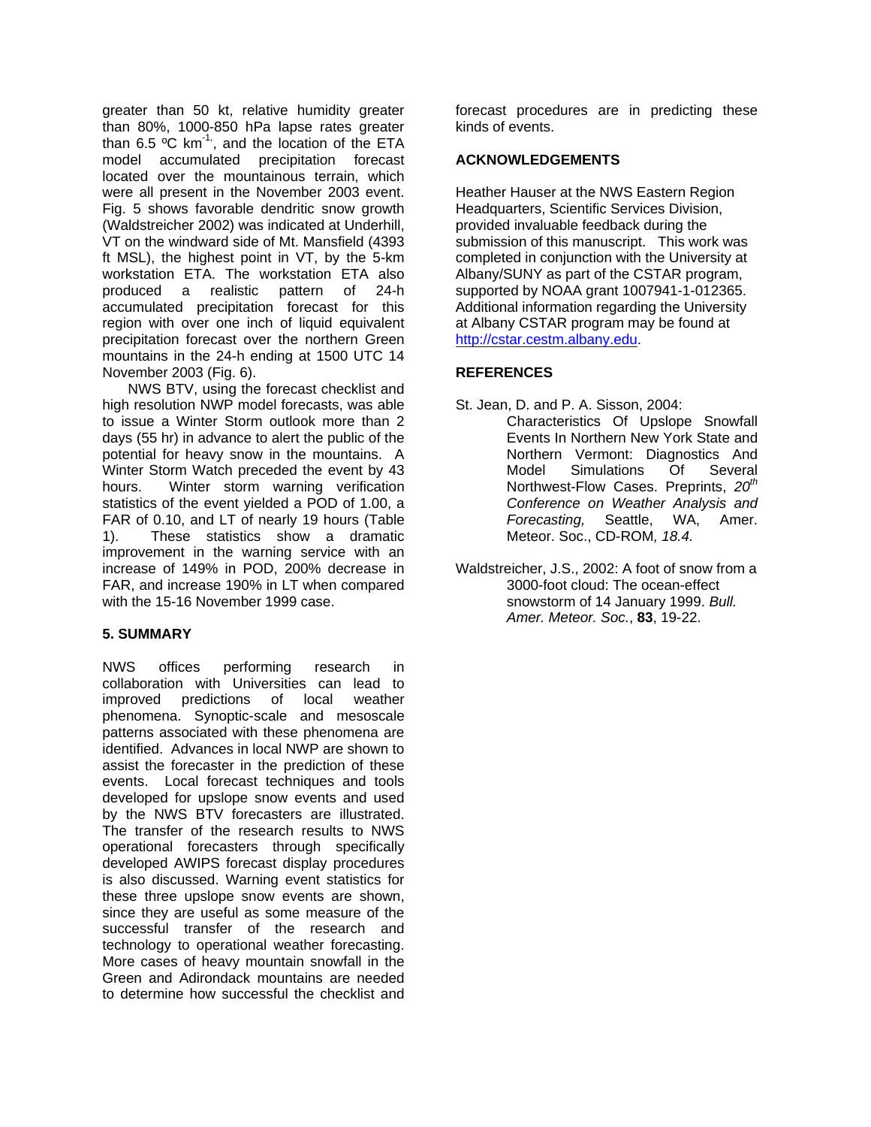greater than 50 kt, relative humidity greater than 80%, 1000-850 hPa lapse rates greater than 6.5  $\mathrm{°C}$  km<sup>-1,</sup>, and the location of the ETA model accumulated precipitation forecast located over the mountainous terrain, which were all present in the November 2003 event. Fig. 5 shows favorable dendritic snow growth (Waldstreicher 2002) was indicated at Underhill, VT on the windward side of Mt. Mansfield (4393 ft MSL), the highest point in VT, by the 5-km workstation ETA. The workstation ETA also produced a realistic pattern of 24-h accumulated precipitation forecast for this region with over one inch of liquid equivalent precipitation forecast over the northern Green mountains in the 24-h ending at 1500 UTC 14 November 2003 (Fig. 6).

NWS BTV, using the forecast checklist and high resolution NWP model forecasts, was able to issue a Winter Storm outlook more than 2 days (55 hr) in advance to alert the public of the potential for heavy snow in the mountains. A Winter Storm Watch preceded the event by 43 hours. Winter storm warning verification statistics of the event yielded a POD of 1.00, a FAR of 0.10, and LT of nearly 19 hours (Table 1). These statistics show a dramatic improvement in the warning service with an increase of 149% in POD, 200% decrease in FAR, and increase 190% in LT when compared with the 15-16 November 1999 case.

## **5. SUMMARY**

NWS offices performing research in collaboration with Universities can lead to improved predictions of local weather phenomena. Synoptic-scale and mesoscale patterns associated with these phenomena are identified. Advances in local NWP are shown to assist the forecaster in the prediction of these events. Local forecast techniques and tools developed for upslope snow events and used by the NWS BTV forecasters are illustrated. The transfer of the research results to NWS operational forecasters through specifically developed AWIPS forecast display procedures is also discussed. Warning event statistics for these three upslope snow events are shown, since they are useful as some measure of the successful transfer of the research and technology to operational weather forecasting. More cases of heavy mountain snowfall in the Green and Adirondack mountains are needed to determine how successful the checklist and

forecast procedures are in predicting these kinds of events.

## **ACKNOWLEDGEMENTS**

Heather Hauser at the NWS Eastern Region Headquarters, Scientific Services Division, provided invaluable feedback during the submission of this manuscript. This work was completed in conjunction with the University at Albany/SUNY as part of the CSTAR program, supported by NOAA grant 1007941-1-012365. Additional information regarding the University at Albany CSTAR program may be found at [http://cstar.cestm.albany.edu](http://cstar.cestm.albany.edu/).

## **REFERENCES**

- St. Jean, D. and P. A. Sisson, 2004:
	- Characteristics Of Upslope Snowfall Events In Northern New York State and Northern Vermont: Diagnostics And Model Simulations Of Several Northwest-Flow Cases. Preprints, 20<sup>th</sup> *Conference on Weather Analysis and Forecasting,* Seattle, WA, Amer. Meteor. Soc., CD-ROM*, 18.4.*
- Waldstreicher, J.S., 2002: A foot of snow from a 3000-foot cloud: The ocean-effect snowstorm of 14 January 1999. *Bull. Amer. Meteor. Soc.*, **83**, 19-22.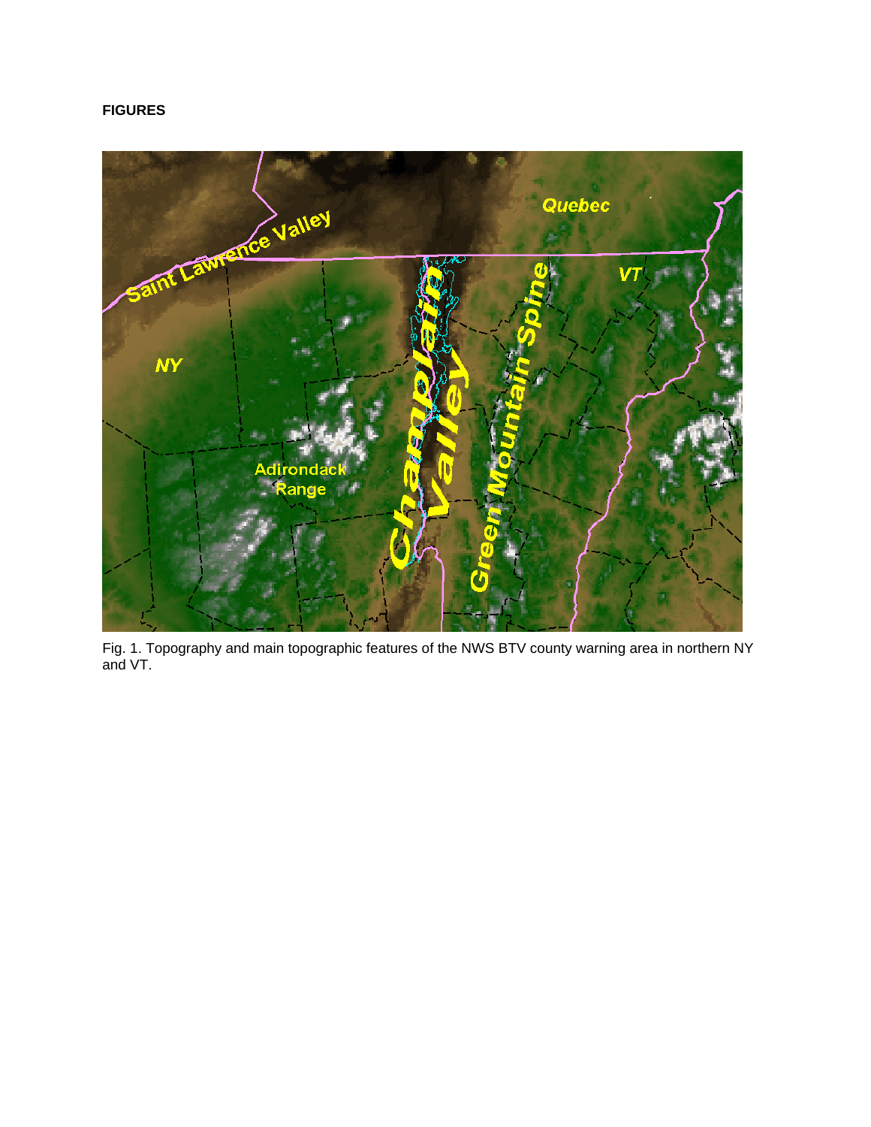# **FIGURES**



Fig. 1. Topography and main topographic features of the NWS BTV county warning area in northern NY and VT.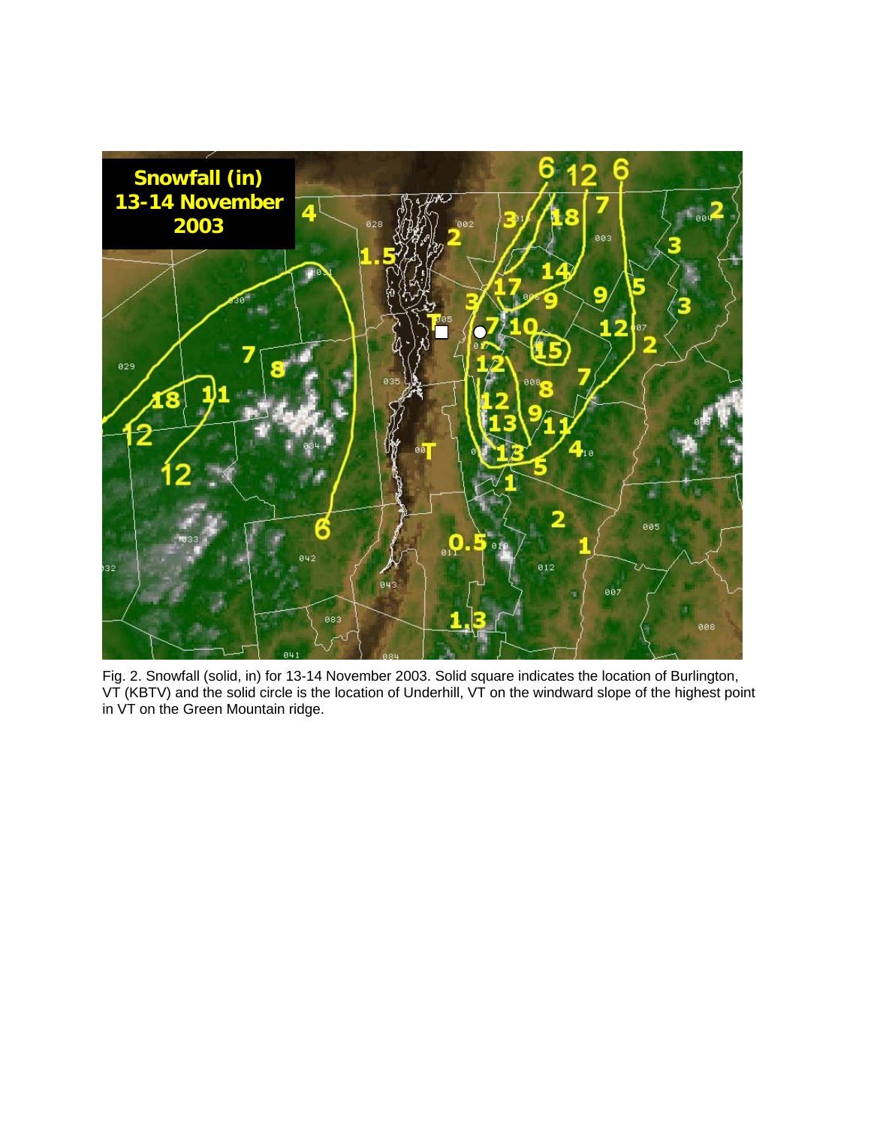

Fig. 2. Snowfall (solid, in) for 13-14 November 2003. Solid square indicates the location of Burlington, VT (KBTV) and the solid circle is the location of Underhill, VT on the windward slope of the highest point in VT on the Green Mountain ridge.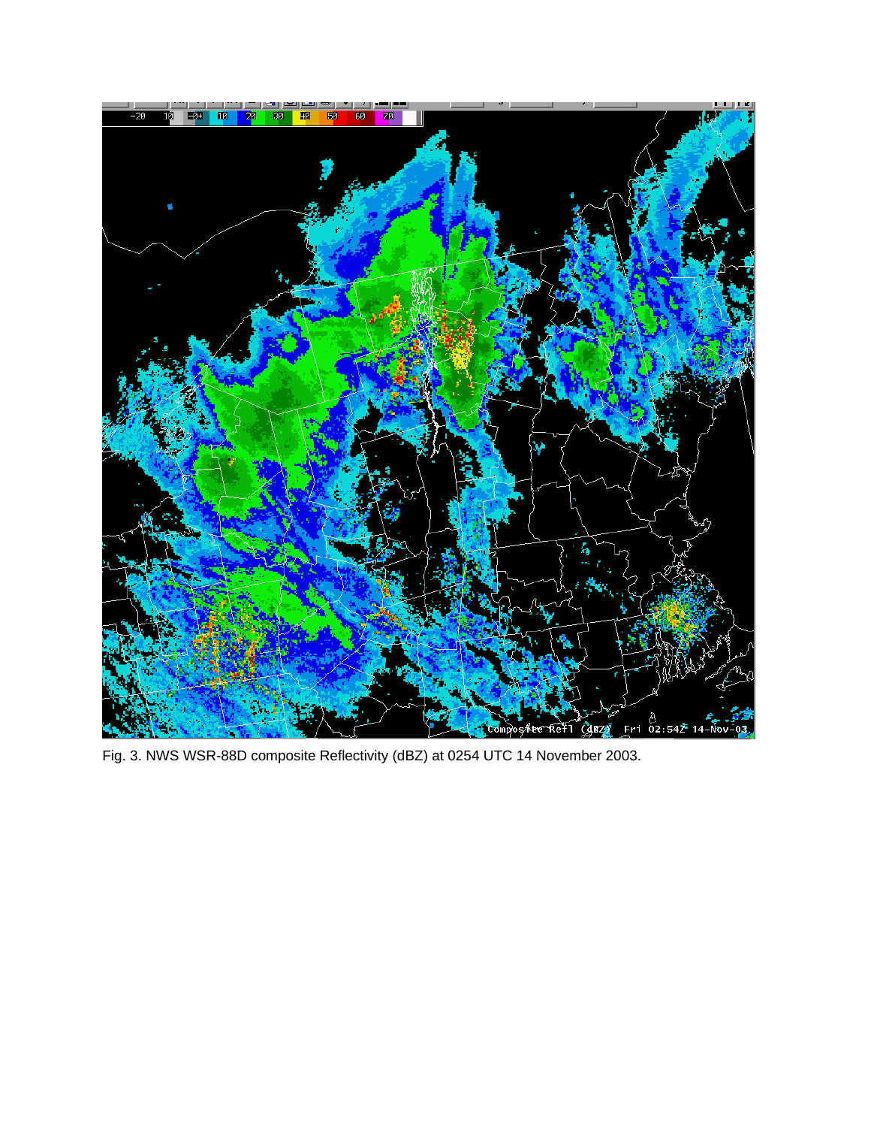

Fig. 3. NWS WSR-88D composite Reflectivity (dBZ) at 0254 UTC 14 November 2003.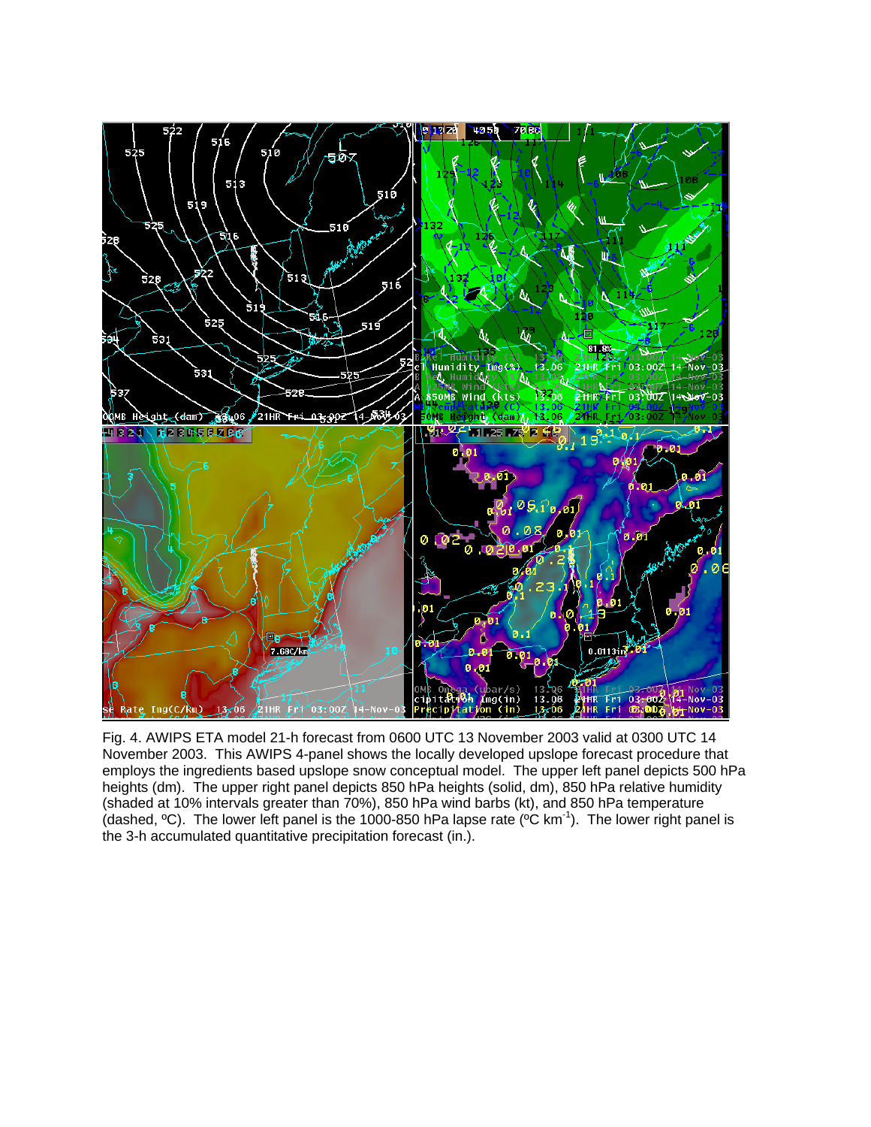

Fig. 4. AWIPS ETA model 21-h forecast from 0600 UTC 13 November 2003 valid at 0300 UTC 14 November 2003. This AWIPS 4-panel shows the locally developed upslope forecast procedure that employs the ingredients based upslope snow conceptual model. The upper left panel depicts 500 hPa heights (dm). The upper right panel depicts 850 hPa heights (solid, dm), 850 hPa relative humidity (shaded at 10% intervals greater than 70%), 850 hPa wind barbs (kt), and 850 hPa temperature (dashed,  ${}^{\circ}$ C). The lower left panel is the 1000-850 hPa lapse rate ( ${}^{\circ}$ C km<sup>-1</sup>). The lower right panel is the 3-h accumulated quantitative precipitation forecast (in.).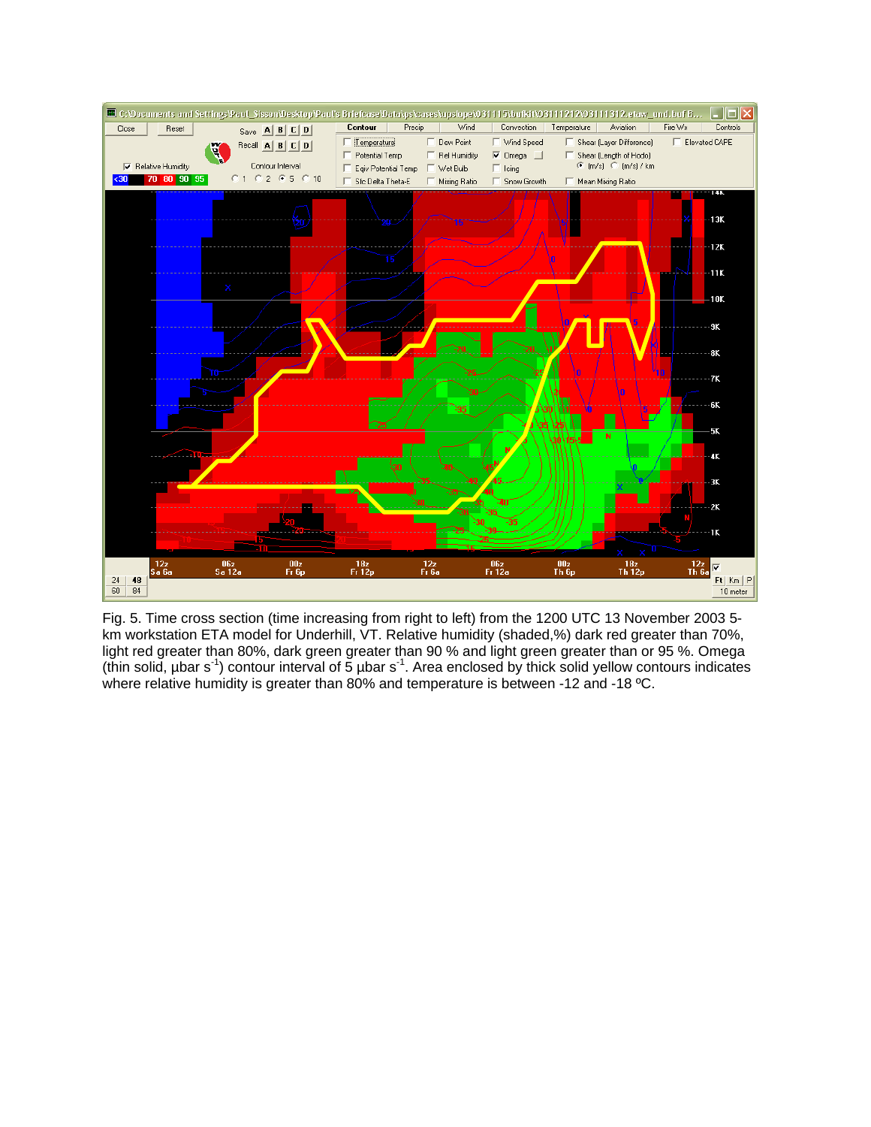

Fig. 5. Time cross section (time increasing from right to left) from the 1200 UTC 13 November 2003 5 km workstation ETA model for Underhill, VT. Relative humidity (shaded,%) dark red greater than 70%, light red greater than 80%, dark green greater than 90 % and light green greater than or 95 %. Omega (thin solid,  $\mu$ bar s<sup>-1</sup>) contour interval of 5  $\mu$ bar s<sup>-1</sup>. Area enclosed by thick solid yellow contours indicates where relative humidity is greater than 80% and temperature is between -12 and -18 °C.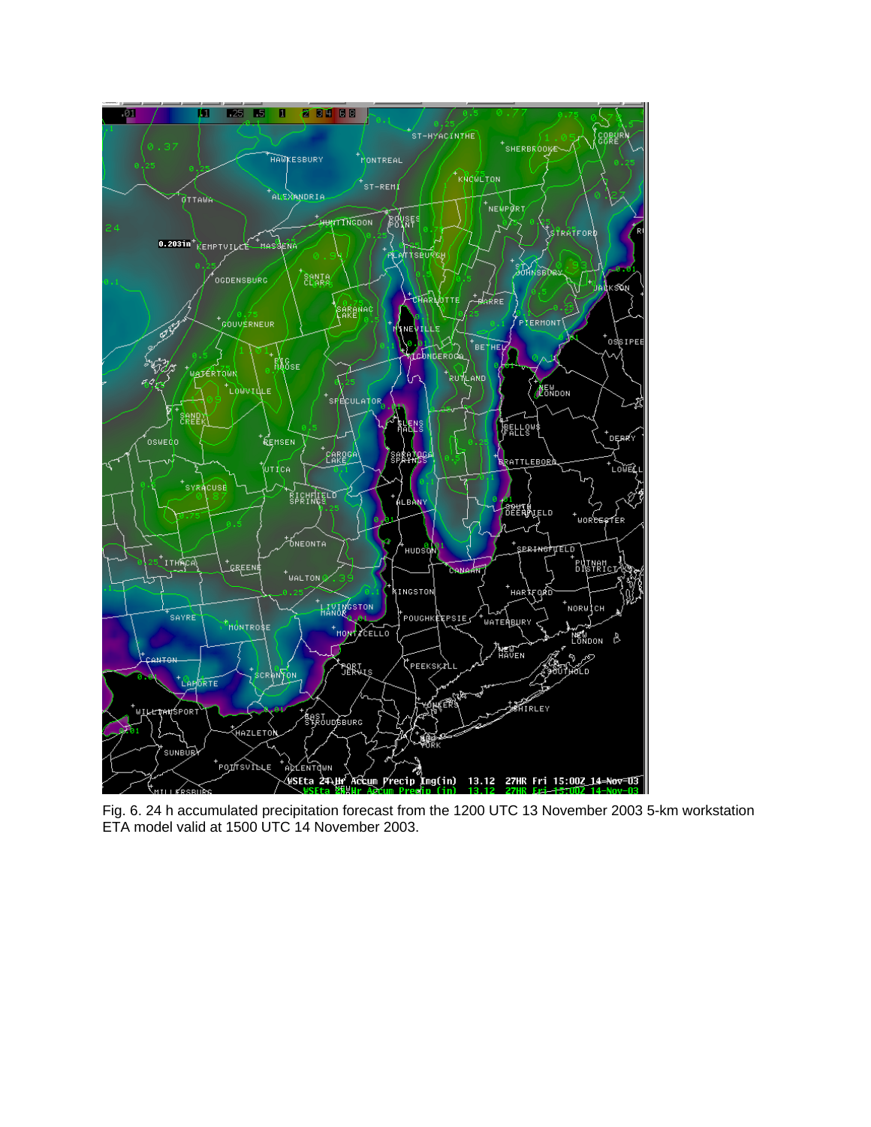

Fig. 6. 24 h accumulated precipitation forecast from the 1200 UTC 13 November 2003 5-km workstation ETA model valid at 1500 UTC 14 November 2003.